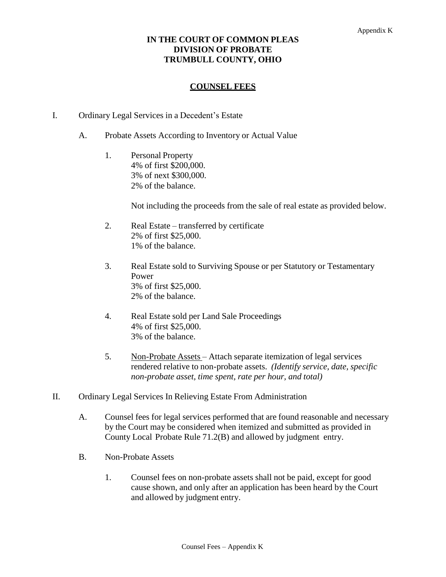## **IN THE COURT OF COMMON PLEAS DIVISION OF PROBATE TRUMBULL COUNTY, OHIO**

## **COUNSEL FEES**

- I. Ordinary Legal Services in a Decedent's Estate
	- A. Probate Assets According to Inventory or Actual Value
		- 1. Personal Property 4% of first \$200,000. 3% of next \$300,000. 2% of the balance.

Not including the proceeds from the sale of real estate as provided below.

- 2. Real Estate transferred by certificate 2% of first \$25,000. 1% of the balance.
- 3. Real Estate sold to Surviving Spouse or per Statutory or Testamentary Power 3% of first \$25,000. 2% of the balance.
- 4. Real Estate sold per Land Sale Proceedings 4% of first \$25,000. 3% of the balance.
- 5. Non-Probate Assets Attach separate itemization of legal services rendered relative to non-probate assets. *(Identify service, date, specific non-probate asset, time spent, rate per hour, and total)*
- II. Ordinary Legal Services In Relieving Estate From Administration
	- A. Counsel fees for legal services performed that are found reasonable and necessary by the Court may be considered when itemized and submitted as provided in County Local Probate Rule 71.2(B) and allowed by judgment entry.
	- B. Non-Probate Assets
		- 1. Counsel fees on non-probate assets shall not be paid, except for good cause shown, and only after an application has been heard by the Court and allowed by judgment entry.